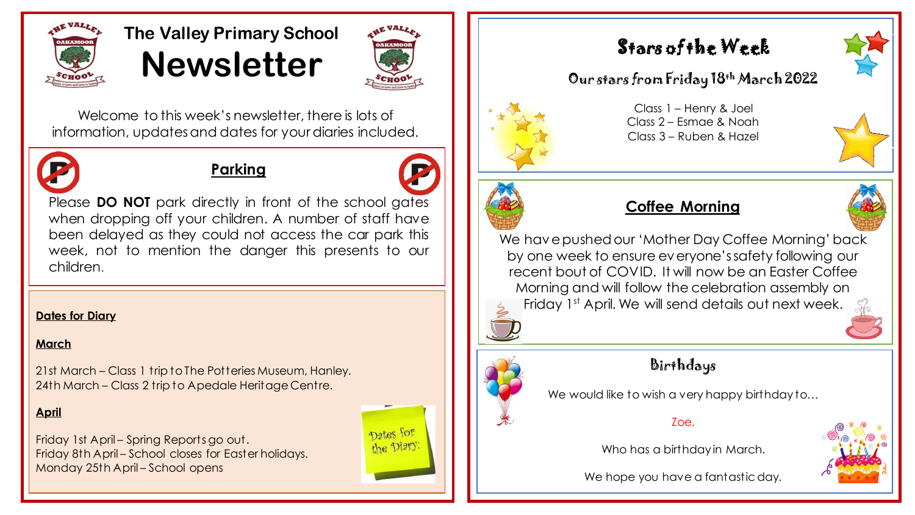

# **The Valley Primary School Newsletter**



Welcome to this week's newsletter, there is lots of information, updates and dates for your diaries included.



### **Parking**



Please **DO NOT** park directly in front of the school gates when dropping off your children. A number of staff have been delayed as they could not access the car park this week, not to mention the danger this presents to our children.

#### **Dates for Diary**

#### **March**

21st March – Class 1 trip to The Potteries Museum, Hanley. 24th March – Class 2 trip to Apedale Heritage Centre.

#### **April**

Friday 1st April – Spring Reports go out. Friday 8th April – School closes for Easter holidays. Monday 25th April – School opens



# Stars of the Week

### Our stars from Friday 18th March 2022



Class 1 – Henry & Joel Class 2 – Esmae & Noah Class 3 – Ruben & Hazel



### **Coffee Morning**

We have pushed our 'Mother Day Coffee Morning' back by one week to ensure everyone's safety following our recent bout of COVID. It will now be an Easter Coffee Morning and will follow the celebration assembly on Friday 1st April. We will send details out next week.



## Birthdays

We would like to wish a very happy birthday to...

#### Zoe,

Who has a birthday in March.



We hope you have a fantastic day.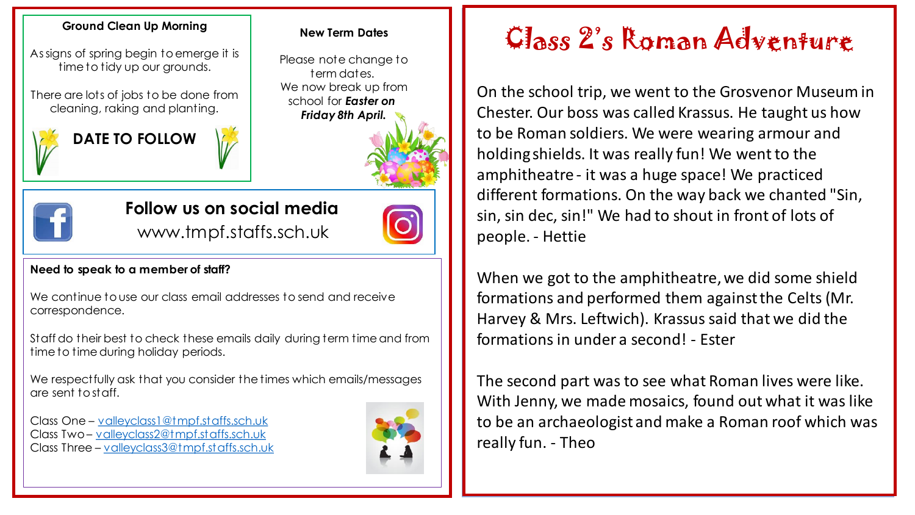As signs of spring begin to emerge it is time to tidy up our grounds.

There are lots of jobs to be done from cleaning, raking and planting.



#### **New Term Dates**

Please note change to term dates. We now break up from school for *Easter on Friday 8th April.*





# **Follow us on social media**

www.tmpf.staffs.sch.uk

#### **Need to speak to a member of staff?**

We continue to use our class email addresses to send and receive correspondence.

Staff do their best to check these emails daily during term time and from time to time during holiday periods.

We respectfully ask that you consider the times which emails/messages are sent to staff.

Class One – [valleyclass1@tmpf.staffs.sch.uk](mailto:valleyclass1@tmpf.staffs.sch.uk) Class Two – [valleyclass2@tmpf.staffs.sch.uk](mailto:valleyclass2@tmpf.staffs.sch.uk) Class Three – [valleyclass3@tmpf.staffs.sch.uk](mailto:valleyclass3@tmpf.staffs.sch.uk)



# Ground Clean Up Morning New Term Dates **Ground Clean Adventure**

On the school trip, we went to the Grosvenor Museum in Chester. Our boss was called Krassus. He taught us how to be Roman soldiers. We were wearing armour and holding shields. It was really fun! We went to the amphitheatre - it was a huge space! We practiced different formations. On the way back we chanted "Sin, sin, sin dec, sin!" We had to shout in front of lots of people. - Hettie

When we got to the amphitheatre, we did some shield formations and performed them against the Celts (Mr. Harvey & Mrs. Leftwich). Krassus said that we did the formations in under a second! - Ester

The second part was to see what Roman lives were like. With Jenny, we made mosaics, found out what it was like to be an archaeologist and make a Roman roof which was really fun. - Theo